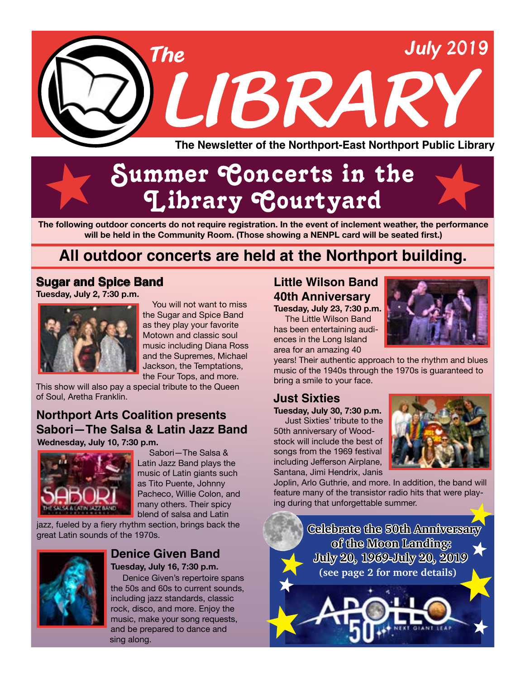

# Summer Concerts in the Library Courtyard

**The following outdoor concerts do not require registration. In the event of inclement weather, the performance will be held in the Community Room. (Those showing a NENPL card will be seated first.)**

# **All outdoor concerts are held at the Northport building.**

# **Sugar and Spice Band**

**Tuesday, July 2, 7:30 p.m.** 



You will not want to miss the Sugar and Spice Band as they play your favorite Motown and classic soul music including Diana Ross and the Supremes, Michael Jackson, the Temptations, the Four Tops, and more.

This show will also pay a special tribute to the Queen of Soul, Aretha Franklin.

### **Wednesday, July 10, 7:30 p.m. Northport Arts Coalition presents Sabori—The Salsa & Latin Jazz Band**



Sabori—The Salsa & Latin Jazz Band plays the music of Latin giants such as Tito Puente, Johnny Pacheco, Willie Colon, and many others. Their spicy blend of salsa and Latin

jazz, fueled by a fiery rhythm section, brings back the great Latin sounds of the 1970s.



#### **Tuesday, July 16, 7:30 p.m. Denice Given Band**

Denice Given's repertoire spans the 50s and 60s to current sounds, including jazz standards, classic rock, disco, and more. Enjoy the music, make your song requests, and be prepared to dance and sing along.

# **Little Wilson Band 40th Anniversary**

**Tuesday, July 23, 7:30 p.m.** The Little Wilson Band has been entertaining audiences in the Long Island

area for an amazing 40

years! Their authentic approach to the rhythm and blues music of the 1940s through the 1970s is guaranteed to bring a smile to your face.

# **Just Sixties**

**Tuesday, July 30, 7:30 p.m.** Just Sixties' tribute to the 50th anniversary of Woodstock will include the best of songs from the 1969 festival including Jefferson Airplane, Santana, Jimi Hendrix, Janis



Joplin, Arlo Guthrie, and more. In addition, the band will feature many of the transistor radio hits that were playing during that unforgettable summer.

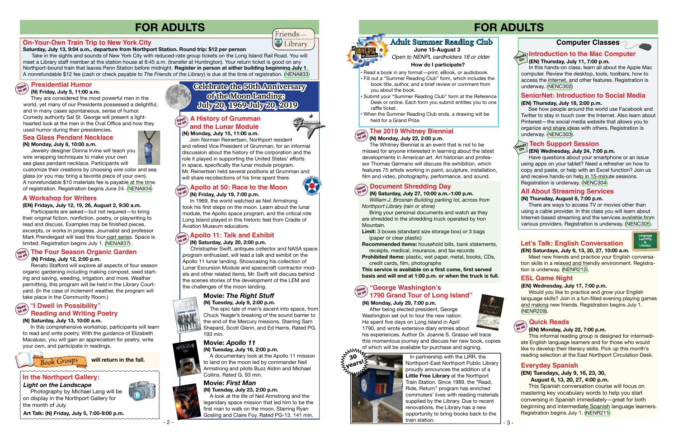#### **Saturday, July 13, 9:04 a.m., departure from Northport Station. Round trip: \$12 per person**

 Take in the sights and sounds of New York City with reduced-rate group tickets on the Long Island Rail Road. You will meet a Library staff member at the station house at 8:45 a.m. (transfer at Huntington). Your return ticket is good on any Northport-bound train that leaves Penn Station before midnight. **Register in person at either building beginning July 1**. A nonrefundable \$12 fee (cash or check payable to *The Friends of the Library*) is due at the time of registration. [\(NENA833\)](https://search.livebrary.com/record=g1092262~S43)

#### **(N) Friday, July 5, 11:00 a.m.**

 Join Norman Reinertsen, Northport resident and retired Vice President of Grumman, for an informal discussion about the history of the corporation and the role it played in supporting the United States' efforts in space, specifically the lunar module program. Mr. Reinertsen held several positions at Grumman and will share recollections of his time spent there.

 They are considered the most powerful men in the world, yet many of our Presidents possessed a delightful, and in many cases spontaneous, sense of humor. Comedy authority Sal St. George will present a lighthearted look at the men in the Oval Office and how they used humor during their presidencies.

## **In the Northport Gallery:**

 **(N) Monday, July 8, 10:00 a.m.** 

Jewelry designer Donna Irvine will teach you

wire wrapping techniques to make your own

sea glass pendant necklace. Participants will customize their creations by choosing wire color and sea glass (or you may bring a favorite piece of your own). A nonrefundable \$10 materials fee is payable at the time of registration. Registration begins June 24. [\(NENA834\)](https://search.livebrary.com/record=g1092281~S43)

# **Sea Glass Pendant Necklace (N) Monday, July 15, 11:00 a.m.**

#### **Presidential Humor Open to all**

#### **Open to all (N) Friday, July 19, 7:00 p.m. Apollo at 50: Race to the Moon**

 In 1969, the world watched as Neil Armstrong took his first steps on the moon. Learn about the lunar module, the Apollo space program, and the critical role Long Island played in this historic feat from Cradle of Aviation Museum educators.

#### **(N) Saturday, July 20, 2:00 p.m.**

# **Open to all Apollo 11: Talk and Exhibit**

 Christopher Swift, antiques collector and NASA space program enthusiast, will lead a talk and exhibit on the Apollo 11 lunar landing. Showcasing his collection of Lunar Excursion Module and spacecraft contractor models and other related items, Mr. Swift will discuss behind the scenes stories of the development of the LEM and the challenges of the moon landing.

#### **(EN) Thursday, July 11, 7:00 p.m. Introduction to the Mac Computer**<br>Name (Fall Thursday, July 11, 7:00 p.m.

# **FOR ADULTS**

 Photography by Michael Lang will be on display in the Northport Gallery for the month of July.

#### **A History of Grumman Open to all and the Lunar Module**

#### **On-Your-Own Train Trip to New York City**

#### **(N) Friday, July 12, 2:00 p.m.**

# **Open to all The Four Season Organic Garden**

 Renato Stafford will explore all aspects of four season organic gardening including making compost, seed starting and saving, weeding, irrigation, and more. Weather permitting, this program will be held in the Library Courtyard. (In the case of inclement weather, the program will take place in the Community Room.)

*Light on the Landscape*

#### **(EN) Fridays, July 12, 19, 26, August 2, 9:30 a.m.**

- Read a book in any format-print, eBook, or audiobook.
- Fill out a "Summer Reading Club" form, which includes the book title, author, and a brief review or comment from
- you about the book.
- Submit your "Summer Reading Club" form at the Reference Desk or online. Each form you submit entitles you to one raffle ticket.
- When the Summer Reading Club ends, a drawing will be held for a Grand Prize.

 Participants are asked—but not required—to bring their original fiction, nonfiction, poetry, or playwriting to read and discuss. Examples may be finished pieces, excerpts, or works in progress. Journalist and professor Mark Prendergast will lead this four-part series. Space is limited. Registration begins July 1. ([NENA837](https://search.livebrary.com/record=g1092295~S43)) .

**Britain.** Modern Monarchy Monarchy Bring your personal documents and watch as they are shredded in the shredding truck operated by Iron Mountain.

#### **A Workshop for Writers**

#### **(N) Saturday, July 13, 10:00 a.m.**

In this comprehensive workshop, participants will learn to read and write poetry. With the guidance of Elizabeth Macaluso, you will gain an appreciation for poetry, write your own, and participate in readings.



#### **"I Dwell in Possibility" Reading and Writing Poetry Open to all**

## **Celebrate the 50th Anniversary of the Moon Landing: July 20, 1969-July 20, 2019**

**Art Talk: (N) Friday, July 5, 7:00-9:00 p.m.**

#### **Movie:** *The Right Stuff* **(N) Tuesday, July 9, 2:00 p.m.**



 The epic tale of man's ascent into space, from Chuck Yeager's breaking of the sound barrier to the end of the Mercury missions. Starring Sam Shepard, Scott Glenn, and Ed Harris. Rated PG. 193 min.

#### **Movie:** *Apollo 11*



 $- 2$ 

**(N) Tuesday, July 16, 2:00 p.m.**  A documentary look at the Apollo 11 mission to land on the moon led by commander Neil

Armstrong and pilots Buzz Aldrin and Michael Collins. Rated G. 93 min.

## **Movie:** *First Man*

There are ways to access TV or movies other than using a cable provider. In this class you will learn about Internet-based streaming and the services available from various providers. Registration is underway. ([NENC305\)](https://search.livebrary.com/record=g1091715~S43).

### **Let's Talk: English Conversation**

**(N) Tuesday, July 23, 2:00 p.m.**  A look at the life of Neil Armstrong and the legendary space mission that led him to be the first man to walk on the moon. Starring Ryan Gosling and Claire Foy. Rated PG-13. 141 min.



*Book Groups* **will return in the fall.**

# **FOR ADULTS**

In this hands-on class, learn all about the Apple Mac computer. Review the desktop, tools, toolbars, how to access the Internet, and other features. Registration is underway. [\(NENC302\)](https://search.livebrary.com/record=g1091709~S43)

#### **(EN) Wednesday, July 24, 7:00 p.m.**

Have questions about your smartphone or an issue using apps on your tablet? Need a refresher on how to copy and paste, or help with an Excel function? Join us and receive hands-on help in 15-minute sessions. Registration is underway. [\(NENC304](https://search.livebrary.com/record=g1091712~S43))

# **Tech Support Session Hands On**

#### **(EN) Thursday, July 18, 2:00 p.m.**

See how people around the world use Facebook and Twitter to stay in touch over the Internet. Also learn about Pinterest—the social media website that allows you to organize and share ideas with others. Registration is underway. [\(NENC303\)](https://search.livebrary.com/record=g1091710~S43).

## **SeniorNet: Introduction to Social Media**

#### **(N) Monday, July 22, 2:00 p.m.**

#### **Open to all The 2019 Whitney Biennial**

 The Whitney Biennial is an event that is not to be missed for anyone interested in learning about the latest developments in American art. Art historian and professor Thomas Germano will discuss the exhibition, which features 75 artists working in paint, sculpture, installation, film and video, photography, performance, and sound.

# **Adult Summer Reading Club**

*Open to NENPL cardholders 18 or older* **How do I participate?**

**June 15-August 3**

**(N) Saturday, July 27, 10:00 a.m.-1:00 p.m.**  *William J. Brosnan Building parking lot, across from Northport Library (rain or shine)*

- **Limit:** 3 boxes (standard size storage box) or 3 bags (paper or clear plastic)
- **Recommended items:** household bills, bank statements, receipts, medical, insurance, and tax records
- **Prohibited items:** plastic, wet paper, metal, books, CDs, credit cards, film, photographs

# **Document Shredding Day Open to all**

**This service is available on a first come, first served basis and will end at 1:00 p.m. or when the truck is full.**

# **(N) Monday, July 29, 7:00 p.m.**

 After being elected president, George Washington set out to tour the new nation. He spent five days on Long Island in April<br>1790, and wrote extensive diary entries about 1790, and wrote extensive diary entries about his experiences. Author Dr. Joanne S. Grasso will trace

### **Open to all "George Washington's 1790 Grand Tour of Long Island"**

this momentous journey and discuss her new book, copies of which will be available for purchase and signing.

## **Computer Classes**

#### **ESL Game Night**

#### **(EN) Wednesday, July 17, 7:00 p.m.**

 Would you like to practice and grow your English language skills? Join in a fun-filled evening playing games and making new friends. Registration begins July 1. [\(NENR209](https://search.livebrary.com/record=g1092544~S43)).

#### **Quick Reads**  $\begin{pmatrix} \text{open} \\ \text{to all} \end{pmatrix}$

#### **(EN) Monday, July 22, 7:00 p.m.**

This informal reading group is designed for intermediate English language learners and for those who would like to develop their literacy skills. Pick up this month's reading selection at the East Northport Circulation Desk.

#### **Everyday Spanish**

## **(EN) Tuesdays, July 9, 16, 23, 30,**

**August 6, 13, 20, 27, 4:00 p.m.**

 This Spanish conversation course will focus on mastering key vocabulary words to help you start conversing in Spanish immediately—great for both beginning and intermediate Spanish language learners. Registration begins July 1. ([NENR211\)](https://search.livebrary.com/record=g1092507~S43)

**Language Learning**

**(EN) Saturdays, July 6, 13, 20, 27, 10:00 a.m.** Meet new friends and practice your English conversation skills in a relaxed and friendly environment. Registration is underway. ([NENR212\)](https://search.livebrary.com/record=g1092502~S43).

#### **(N) Thursday, August 8, 7:00 p.m.**

# **All About Streaming Services**

 In partnership with the LIRR, the Northport-East Northport Public Library proudly announces the addition of a **Little Free Library** at the Northport Train Station. Since 1989, the "Read, Ride, Return" program has enriched commuters' lives with reading materials supplied by the Library. Due to recent renovations, the Library has a new opportunity to bring books back to the train station.









Friends<sub>®</sub> Library







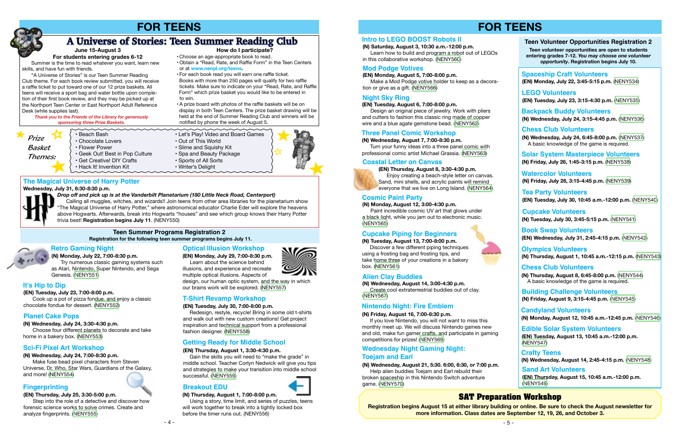*Prize Basket Themes:*

#### **Teen Summer Programs Registration 2 Registration for the following teen summer programs begins July 11.**

**(N) Monday, July 22, 7:00-8:30 p.m.** Try numerous classic gaming systems such as Atari, Nintendo, Super Nintendo, and Sega Genesis. ([NENY551](https://search.livebrary.com/record=g1091502~S43))

**(N) Wednesday, July 24, 3:30-4:30 p.m.** Choose four different planets to decorate and take home in a bakery box. [\(NENY553\)](https://search.livebrary.com/record=g1091505~S43)

**(N) Wednesday, July 24, 7:00-8:30 p.m.** Make fuse bead pixel characters from Steven

Universe, Dr. Who, Star Wars, Guardians of the Galaxy, and more! ([NENY554](https://search.livebrary.com/record=g1091506~S43))

#### **(EN) Thursday, July 25, 3:30-5:00 p.m.**

 Step into the role of a detective and discover how forensic science works to solve crimes. Create and analyze fingerprints. ([NENY555](https://search.livebrary.com/record=g1091508~S43))

**(EN) Tuesday, July 30, 7:00-8:00 p.m.**

 Redesign, restyle, recycle! Bring in some old t-shirts and walk out with new custom creations! Get project inspiration and technical support from a professional fashion designer. [\(NENY558\)](https://search.livebrary.com/record=g1091511~S43)

#### **(N) Thursday, August 1, 7:00-8:00 p.m.**

 Using a story, time limit, and series of puzzles, teens will work together to break into a tightly locked box before the timer runs out. (NENY556)





### **Retro Gaming Night**

#### **Planet Cake Pops**

#### **Sci-Fi Pixel Art Workshop**

#### **Fingerprinting**

#### **T-Shirt Revamp Workshop**

### **Breakout EDU**

#### **(EN) Thursday, August 1, 3:30-4:30 p.m.**

 Gain the skills you will need to "make the grade" in middle school. Teacher Corlyn Nedwick will give you tips and strategies to make your transition into middle school successful. [\(NENY559\)](https://search.livebrary.com/record=g1091552~S43)

## **Getting Ready for Middle School**

 "A Universe of Stories" is our Teen Summer Reading Club theme. For each book review submitted, you will receive a raffle ticket to put toward one of our 12 prize baskets. All teens will receive a sport bag and water bottle upon completion of their first book review, and they may be picked up at the Northport Teen Center or East Northport Adult Reference Desk (while supplies last).

# **The Magical Universe of Harry Potter**

**Wednesday, July 31, 6:30-8:30 p.m.** 

*Drop off and pick up is at the Vanderbilt Planetarium (180 Little Neck Road, Centerport)*

 Calling all muggles, witches, and wizards!! Join teens from other area libraries for the planetarium show "The Magical Universe of Harry Potter," where astronomical educator Charlie Eder will explore the heavens above Hogwarts. Afterwards, break into Hogwarts "houses" and see which group knows their Harry Potter trivia best! **Registration begins July 11**. (NENY550)

#### **(EN) Tuesday, July 23, 7:00-8:00 p.m.**

Cook up a pot of pizza fondue, and enjoy a classic chocolate fondue for dessert. [\(NENY552\)](https://search.livebrary.com/record=g1091504~S43)

#### **It's Hip to Dip**



 Learn about the science behind illusions, and experience and recreate multiple optical illusions. Aspects of

design, our human optic system, and the way in which our brains work will be explored. ([NENY557](https://search.livebrary.com/record=g1091509~S43))

**Optical Illusion Workshop**

# **FOR TEENS**

*Thank you to the Friends of the Library for generously sponsoring three Prize Baskets.*

• Get Creative! DIY Crafts

<u>aaaaaaaaaa</u>

#### **June 15-August 3**

# **A Universe of Stories: Teen Summer Reading Club**

• Choose an age-appropriate book to read.

 • Obtain a "Read, Rate, and Raffle Form" in the Teen Centers or at **www.nenpl.org/teens.**

• For each book read you will earn one raffle ticket.

 Books with more than 250 pages will qualify for two raffle tickets. Make sure to indicate on your "Read, Rate, and Raffle Form" which prize basket you would like to be entered in to win.

 • A prize board with photos of the raffle baskets will be on display in both Teen Centers. The prize basket drawing will be held at the end of Summer Reading Club and winners will be notified by phone the week of August 5.

• Beach Bash • Let's Play! Video and Board Games<br>• Chocolate Lovers • Out of This World

mmmmmm

- Chocolate Lovers Out of This World<br>• Flower Power Power Slime and Squish
	-
- Slime and Squishy Kit<br>• Spa and Beauty Package • Geek Out! Best in Pop Culture • Spa and Beauty Package Certify Carts<br>• Get Creative! DIY Crafts • Sports of All Sorts
	-
- Hack It! Invention Kit Writer's Delight



#### **How do I participate?**

 Summer is the time to read whatever you want, learn new skills, and have fun with friends.

**For students entering grades 6-12**

# **FOR TEENS**

**(N) Saturday, August 3, 10:30 a.m.-12:00 p.m.** Learn how to build and program a robot out of LEGOs in this collaborative workshop. ([NENY560](https://search.livebrary.com/record=g1091584~S43))

#### **(N) Wednesday, August 7, 7:00-8:30 p.m.**

 Turn your funny ideas into a three panel comic with professional comic artist Michael Grassia. ([NENY563](https://search.livebrary.com/record=g1091597~S43))

#### **Intro to LEGO BOOST Robots ll**

#### **Three Panel Comic Workshop**

#### **Mod Podge Votives**



 Enjoy creating a beach-style letter on canvas. Sand, mini shells, and acrylic paints will remind everyone that we live on Long Island. ([NENY564](https://search.livebrary.com/record=g1091599~S43))

#### **Coastal Letter on Canvas**

#### **(EN) Tuesday, August 6, 7:00-8:00 p.m.**

 Design an original piece of jewelry. Work with pliers and cutters to fashion this classic ring made of copper wire and a blue agate gemstone bead. [\(NENY562\)](https://search.livebrary.com/record=g1091586~S43)

#### **Night Sky Ring**

#### **(EN) Monday, August 5, 7:00-8:00 p.m.**

Make a Mod Podge votive holder to keep as a decoration or give as a gift. ([NENY566](https://search.livebrary.com/record=g1091601~S43))

### **Cupcake Piping for Beginners**

#### **(N) Tuesday, August 13, 7:00-8:00 p.m.**

Discover a few different piping techniques using a frosting bag and frosting tips, and take home three of your creations in a bakery box. [\(NENY561](https://search.livebrary.com/record=g1091585~S43))

#### **(N) Monday, August 12, 3:00-4:30 p.m.**

 Paint incredible cosmic UV art that glows under a black light, while you jam out to electronic music. ([NENY565](https://search.livebrary.com/record=g1091600~S43))

#### **Cosmic Paint Party**

**Registration begins August 15 at either library building or online. Be sure to check the August newsletter for more information. Class dates are September 12, 19, 26, and October 3.**

## **SAT Preparation Workshop**

#### **Alien Clay Buddies**

**(N) Wednesday, August 14, 3:00-4:30 p.m.** Create cool extraterrestrial buddies out of clay. ([NENY567](https://search.livebrary.com/record=g1091602~S43))

#### **Nintendo Night: Fire Emblem**

#### **(N) Friday, August 16, 7:00-8:30 p.m.**

If you love Nintendo, you will not want to miss this monthly meet up. We will discuss Nintendo games new and old, make fun gamer crafts, and participate in gaming competitions for prizes! [\(NENY569\)](https://search.livebrary.com/record=g1091608~S43)

# **Wednesday Night Gaming Night:**

**(N) Wednesday, August 21, 5:30. 6:00, 6:30, or 7:00 p.m.** Help alien buddies Toejam and Earl rebuild their broken spaceship in this Nintendo Switch adventure game. ([NENY570](https://search.livebrary.com/record=g1091609~S43))

#### **Toejam and Earl**

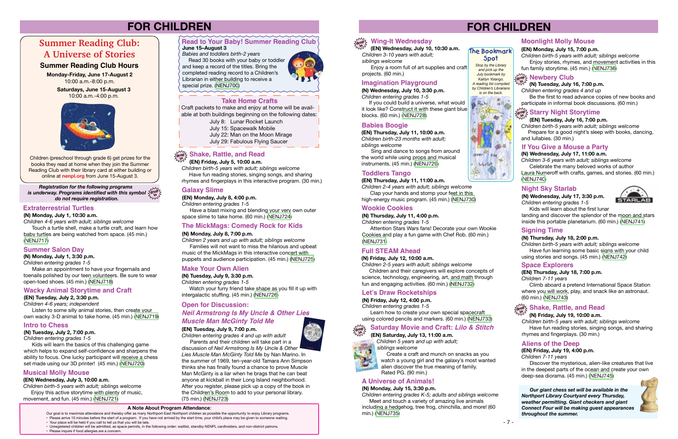**Monday-Friday, June 17-August 2** 10:00 a.m.-8:00 p.m.

> **Saturdays, June 15-August 3** 10:00 a.m.-4:00 p.m.



# **FOR CHILDREN**

Children (preschool through grade 6) get prizes for the books they read at home when they join the Summer Reading Club with their library card at either building or online at **nenpl.org** from June 15-August 3.

> Our goal is to maximize attendance and thereby offer as many Northport-East Northport children as possible the opportunity to enjoy Library programs. • Please arrive 10 minutes before the start of a program. If you have not arrived by the start time, your child's place may be given to someone waiting.

- Your place will be held if you call to tell us that you will be late.
- Unregistered children will be admitted, as space permits, in the following order: waitlist, standby NENPL cardholders, and non-district patrons. • Please inquire if food allergies are a concern.



 $B_{\alpha\mu}$ ka

Mortell

# **Corphy Wing-It Wednesday**

Touch a turtle shell, make a turtle craft, and learn how baby turtles are being watched from space. (45 min.) [\(NENJ717](https://search.livebrary.com/record=g1090455~S43))

#### **A Note About Program Attendance**:

# **Summer Reading Club: A Universe of Stories**

#### **Summer Reading Club Hours**

Make an appointment to have your fingernails and toenails polished by our teen volunteers. Be sure to wear open-toed shoes. (45 min.) [\(NENJ718\)](https://search.livebrary.com/record=g1090456~S43)

#### **June 15–August 3**

*Babies and toddlers birth-2 years*

 Read 30 books with your baby or toddler and keep a record of the titles. Bring the completed reading record to a Children's Librarian in either building to receive a special prize. ([NENJ700](https://search.livebrary.com/record=g1090667~S43))



# **Read to Your Baby! Summer Reading Club**

July 8: Lunar Rocket Launch July 15: Spacewalk Mobile July 22: Man on the Moon Mirage July 29: Fabulous Flying Saucer

#### **Take Home Crafts**

Craft packets to make and enjoy at home will be available at both buildings beginning on the following dates:

#### **Extraterrestrial Turtles**

**(N) Monday, July 1, 10:30 a.m.**

*Children 4-6 years with adult; siblings welcome*

#### **Summer Salon Day**

**(N) Monday, July 1, 3:30 p.m.**

*Children entering grades 1-5*

**(EN) Tuesday, July 2, 3:30 p.m.**

*Children 4-6 years; independent*

 Listen to some silly animal stories, then create your own wacky 3-D animal to take home. (45 min.) [\(NENJ719\)](https://search.livebrary.com/record=g1090372~S43)

#### **Wacky Animal Storytime and Craft**

is underway. Programs identified with this symbol  $\frac{1}{2} \alpha^{\text{top}}$ *do not require registration. Registration for the following programs* 

**(N) Tuesday, July 2, 7:00 p.m.**

*Children entering grades 1-5*

 Kids will learn the basics of this challenging game which helps to expand self-confidence and sharpens the ability to focus. One lucky participant will receive a chess set made using our 3D printer! (45 min.) [\(NENJ720\)](https://search.livebrary.com/record=g1090458~S43)

Enjoy a room full of art supplies and craft projects. (60 min.)

#### **Intro to Chess**

**(EN) Wednesday, July 3, 10:00 a.m.**

*Children birth-5 years with adult; siblings welcome* Enjoy this active storytime with plenty of music, movement, and fun. (45 min.) ([NENJ721](https://search.livebrary.com/record=g1090428~S43))

#### **Musical Molly Mouse**

 **(EN) Friday, July 5, 10:00 a.m.**

*Children birth-5 years with adult; siblings welcome* Have fun reading stories, singing songs, and sharing

## **drop in Shake, Rattle, and Read**

rhymes and fingerplays in this interactive program. (30 min.)

#### **(EN) Monday, July 8, 4:00 p.m.**

*Children entering grades 1-5*

 Have a blast mixing and blending your very own outer space slime to take home. (60 min.) [\(NENJ724](https://search.livebrary.com/record=g1090436~S43))

#### **Galaxy Slime**

**(N) Tuesday, July 9, 3:30 p.m.**

*Children entering grades 1-5*

 Watch your furry friend take shape as you fill it up with intergalactic stuffing. (45 min.) [\(NENJ726](https://search.livebrary.com/record=g1090530~S43))

#### **Make Your Own Alien**

#### **(N) Monday, July 8, 7:00 p.m.**

*Children 2 years and up with adult; siblings welcome* Families will not want to miss the hilarious and upbeat

music of the MickMags in this interactive concert with puppets and audience participation. (45 min.) ([NENJ725\)](https://search.livebrary.com/record=g1090459~S43)

#### **The MickMags: Comedy Rock for Kids**

#### **(EN) Tuesday, July 9, 7:00 p.m.**

*Children entering grades 4 and up with adult*

 Parents and their children will take part in a discussion of *Neil Armstrong Is My Uncle & Other Lies Muscle Man McGinty Told Me* by Nan Marino. In the summer of 1969, ten-year-old Tamara Ann Simpson thinks she has finally found a chance to prove Muscle Man McGinty is a liar when he brags that he can beat anyone at kickball in their Long Island neighborhood. After you register, please pick up a copy of the book in the Children's Room to add to your personal library. (75 min.) [\(NENJ723\)](https://search.livebrary.com/record=g1090380~S43)

#### **Open for Discussion:**

#### *Neil Armstrong Is My Uncle & Other Lies Muscle Man McGinty Told Me*

# **FOR CHILDREN**

#### *Stop by the Library and pick up the July bookmark by Kaitlyn Yolango. A reading list compiled by Children's Librarians is on the back.*  **Spot**

 $\frac{2}{\alpha}$ 

 $40^{\circ}$ 

**(N) Wednesday, July 10, 3:30 p.m.**

*Children entering grades 1-5* If you could build a universe, what would it look like? Construct it with these giant blue blocks. (60 min.) ([NENJ728\)](https://search.livebrary.com/record=g1090531~S43)

#### **Imagination Playground**

 **(EN) Wednesday, July 10, 10:30 a.m.** *Children 3-10 years with adult; siblings welcome*

**(EN) Thursday, July 11, 10:00 a.m.** *Children birth-23 months with adult; siblings welcome* 

 Sing and dance to songs from around the world while using props and musical instruments. (45 min.) [\(NENJ729\)](https://search.livebrary.com/record=g1090433~S43)

#### **Babies Boogie**

 **(EN) Thursday, July 11, 11:00 a.m.**

*Children 2-4 years with adult; siblings welcome* Clap your hands and stomp your feet in this high-energy music program. (45 min.) ([NENJ730\)](https://search.livebrary.com/record=g1090435~S43)

#### **Toddlers Tango**



#### **Full STEAM Ahead**

#### **(N) Friday, July 12, 10:00 a.m.**

*Children 2-5 years with adult; siblings welcome* Children and their caregivers will explore concepts of science, technology, engineering, art, and math through fun and engaging activities. (60 min.) ([NENJ732\)](https://search.livebrary.com/record=g1090533~S43)

#### **(N) Thursday, July 11, 4:00 p.m.**

*Children entering grades 1-5*

 Attention Stars Wars fans! Decorate your own Wookie Cookies and play a fun game with Chef Rob. (60 min.) ([NENJ731](https://search.livebrary.com/record=g1090532~S43))

#### **Wookie Cookies**

**(N) Friday, July 12, 4:00 p.m.**

*Children entering grades 1-5*

 Learn how to create your own special spacecraft using colored pencils and markers. (60 min.) [\(NENJ733](https://search.livebrary.com/record=g1090534~S43))

#### **Let's Draw Rocketships**

**in**

#### **(EN) Saturday, July 13, 11:00 a.m.**

*Children 5 years and up with adult; siblings welcome* 



#### **drop Saturday Movie and Craft:** *Lilo & Stitch*

 Create a craft and munch on snacks as you watch a young girl and the galaxy's most wanted alien discover the true meaning of family. Rated PG. (90 min.)

#### **(N) Monday, July 15, 3:30 p.m.**

*Children entering grades K-5; adults and siblings welcome* Meet and touch a variety of amazing live animals including a hedgehog, tree frog, chinchilla, and more! (60 min.) [\(NENJ735](https://search.livebrary.com/record=g1090536~S43))



### **A Universe of Animals!**

**(EN) Monday, July 15, 7:00 p.m.**

*Children birth-5 years with adult; siblings welcome*

#### Enjoy stories, rhymes, and movement activities in this fun family storytime. (45 min.) ([NENJ736](https://search.livebrary.com/record=g1090437~S43))

**Moonlight Molly Mouse**

#### **(EN) Tuesday, July 16, 7:00 p.m.**

## **drop in Starry Night Storytime**

*Children birth-5 years with adult; siblings welcome* Prepare for a good night's sleep with books, dancing, and lullabies. (30 min.)

#### **(N) Tuesday, July 16, 7:00 p.m.**

*Children entering grades 4 and up*

**drop in Newbery Club**

 Be the first to read advance copies of new books and participate in informal book discussions. (60 min.)

#### **(N) Wednesday, July 17, 11:00 a.m.**

*Children 3-6 years with adult; siblings welcome* Celebrate the many beloved works of author

Laura Numeroff with crafts, games, and stories. (60 min.) ([NENJ740\)](https://search.livebrary.com/record=g1090539~S43)

#### **If You Give a Mouse a Party**

#### **(N) Wednesday, July 17, 3:30 p.m.**

*Children entering grades 1-5*



 Kids will learn about the first lunar landing and discover the splendor of the moon and stars inside this portable planetarium. (60 min.) ([NENJ741\)](https://search.livebrary.com/record=g1090543~S43)

### **Night Sky Starlab**

#### **(N) Thursday, July 18, 2:00 p.m.**

*Children birth-5 years with adult; siblings welcome* Have fun learning some basic signs with your child using stories and songs. (45 min.) ([NENJ742](https://search.livebrary.com/record=g1090545~S43))

#### **Signing Time**

#### **(EN) Thursday, July 18, 7:00 p.m.**

*Children 7-11 years*

 Climb aboard a pretend International Space Station where you will work, play, and snack like an astronaut. (60 min.) ([NENJ743](https://search.livebrary.com/record=g1090438~S43))

#### **Space Explorers**

#### **(N) Friday, July 19, 10:00 a.m.**

## **drop in Shake, Rattle, and Read**

*Children birth-5 years with adult; siblings welcome* Have fun reading stories, singing songs, and sharing rhymes and fingerplays. (30 min.)

#### **(EN) Friday, July 19, 4:00 p.m.**

*Children 7-11 years*

 Discover the mysterious, alien-like creatures that live in the deepest parts of the ocean and create your own deep-sea diorama. (45 min.) [\(NENJ745\)](https://search.livebrary.com/record=g1090430~S43)

#### **Aliens of the Deep**

 *Our giant chess set will be available in the Northport Library Courtyard every Thursday, weather permitting. Giant checkers and giant Connect Four will be making guest appearances throughout the summer.*

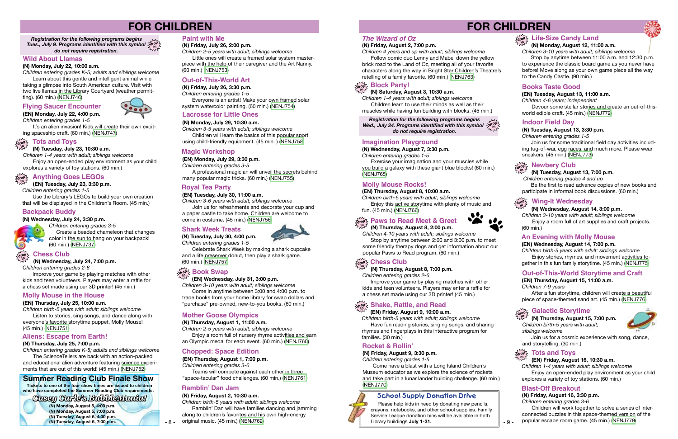# **FOR CHILDREN**

- 9 -

#### **(N) Saturday, August 3, 10:30 a.m.**

*Children 1-4 years with adult; siblings welcome* Children learn to use their minds as well as their

muscles while having fun building with blocks. (45 min.)

#### **(N) Friday, August 2, 7:00 p.m.**

*Children 4 years and up with adult; siblings welcome*

Wed., July 24. Programs identified with this symbol  $\frac{\text{SdroP}}{\text{Sing}}$ *do not require registration. Registration for the following programs begins* 

 Follow comic duo Lenny and Mabel down the yellow brick road to the Land of Oz, meeting all of your favorite characters along the way in Bright Star Children's Theatre's retelling of a family favorite. (60 min.) [\(NENJ763](https://search.livebrary.com/record=g1090565~S43))

# **Block Party!**

Exercise your imagination and your muscles while you build a galaxy with these giant blue blocks! (60 min.) [\(NENJ765\)](https://search.livebrary.com/record=g1090569~S43)

#### *The Wizard of Oz*

**in**

## $\frac{d\mathbf{p}}{d\mathbf{p}}$  Life-Size Candy Land

#### **(N) Wednesday, August 7, 3:30 p.m.**

*Children entering grades 1-5*

Improve your game by playing matches with other kids and teen volunteers. Players may enter a raffle for a chess set made using our 3D printer! (45 min.)

#### **Imagination Playground**

#### **(EN) Thursday, August 8, 10:00 a.m.**

Stop by anytime between 11:00 a.m. and 12:30 p.m. to experience the classic board game as you never have before! Move along as your own game piece all the way to the Candy Castle. (90 min.)

*Children birth-5 years with adult; siblings welcome*  Enjoy this active storytime with plenty of music and fun. (45 min.) ([NENJ766](https://search.livebrary.com/record=g1090444~S43))

# **Paws to Read Meet & Greet**

Devour some stellar stories and create an out-of-thisworld edible craft. (45 min.) [\(NENJ772\)](https://search.livebrary.com/record=g1090412~S43)

#### **Molly Mouse Rocks!**



*Children 4-10 years with adult; siblings welcome* Stop by anytime between 2:00 and 3:00 p.m. to meet some friendly therapy dogs and get information about our popular Paws to Read program. (60 min.)

# $\frac{\sum\limits_{\alpha\in\mathbb{N}^2}}{\sum\limits_{\alpha\in\mathbb{N}^2}}$  Chess Club

Be the first to read advance copies of new books and participate in informal book discussions. (60 min.)

#### **(N) Thursday, August 8, 7:00 p.m.**

*Children entering grades 2-6*

### **(N) Monday, August 12, 11:00 a.m.**

*Children 3-10 years with adult; siblings welcome*

After a fun storytime, children will create a beautiful piece of space-themed sand art. (45 min.) [\(NENJ776\)](https://search.livebrary.com/record=g1090414~S43)

#### **(EN) Tuesday, August 13, 11:00 a.m.**

*Children 4-6 years; independent*

#### **Books Taste Good**

#### **(EN) Friday, August 9, 10:00 a.m.**

Come have a blast with a Long Island Children's Museum educator as we explore the science of rockets and take part in a lunar lander building challenge. (60 min.) [\(NENJ770](https://search.livebrary.com/record=g1090581~S43))

# **drop in Shake, Rattle, and Read**

*Children birth-5 years with adult; siblings welcome* Have fun reading stories, singing songs, and sharing rhymes and fingerplays in this interactive program for families. (30 min.)

#### **(N) Tuesday, August 13, 3:30 p.m.**

*Children entering grades 1-5*

Join us for some traditional field day activities including tug-of-war, egg races, and much more. Please wear sneakers. (45 min.) [\(NENJ773\)](https://search.livebrary.com/record=g1090583~S43)

#### **Indoor Field Day**

It's an alien invasion! Kids will create their own exciting spaceship craft. (60 min.) ([NENJ747](https://search.livebrary.com/record=g1090440~S43))

#### **(N) Tuesday, August 13, 7:00 p.m.**

 *Children entering grades 4 and up*

**drop in Newbery Club**

*Children entering grades K-5; adults and siblings welcome* The ScienceTellers are back with an action-packed

#### **(EN) Friday, August 16, 10:30 a.m.**

#### **drop in Tots and Toys**

*Children 1-4 years with adult; siblings welcome*  Enjoy an open-ended play environment as your child explores a variety of toy stations. (60 min.)

#### **(N) Wednesday, August 14, 3:00 p.m.**

#### **drop in Wing-It Wednesday**

*Children 3-10 years with adult; siblings welcome* Enjoy a room full of art supplies and craft projects. (60 min.)

Use the Library's LEGOs to build your own creation that will be displayed in the Children's Room. (45 min.)

#### **(EN) Wednesday, August 14, 7:00 p.m.**

*Children birth-5 years with adult; siblings welcome*  Enjoy stories, rhymes, and movement activities together in this fun family storytime. (45 min.) [\(NENJ775\)](https://search.livebrary.com/record=g1090443~S43)

#### **An Evening with Molly Mouse**

### **(EN) Thursday, August 15, 11:00 a.m.**

*Children 7-9 years*

#### **Out-of-This-World Storytime and Craft**

*siblings welcome*



 Join us for a cosmic experience with song, dance, and storytelling. (30 min.)

#### **(N) Friday, August 16, 3:30 p.m.**

*Children entering grades 3-6*

 Children will work together to solve a series of interconnected puzzles in this space-themed version of the popular escape room game. (45 min.) ([NENJ779](https://search.livebrary.com/record=g1090590~S43))

Little ones will create a framed solar system masterpiece with the help of their caregiver and the Art Nanny. (60 min.) [\(NENJ753](https://search.livebrary.com/record=g1090551~S43))

#### **Blast-Off Breakout**

#### **(N) Friday, August 9, 3:30 p.m.**

 **(N) Thursday, August 15, 7:00 p.m.** *Children birth-5 years with adult;* **in**

*Children entering grades 1-5*

#### **Galactic Storytime drop**

#### **Rocket & Rollin'**

**School Supply Donation Drive** Please help kids in need by donating new pencils, crayons, notebooks, and other school supplies. Family Service League donation bins will be available in both

Library buildings **July 1-31.**

# **FOR CHILDREN**

*Tues., July 9. Programs identified with this symbol* **drop in** *do not require registration. Registration for the following programs begins* 

**(N) Monday, July 22, 10:00 a.m.**

*Children entering grades K-5; adults and siblings welcome*  Learn about this gentle and intelligent animal while taking a glimpse into South American culture. Visit with two live llamas in the Library Courtyard (weather permitting). (60 min.) ([NENJ746](https://search.livebrary.com/record=g1090547~S43))

#### **Wild About Llamas**

**(EN) Monday, July 22, 4:00 p.m.** *Children entering grades 1-5*

#### **Flying Saucer Encounter**



 **(N) Tuesday, July 23, 10:30 a.m.**

*Children 1-4 years with adult; siblings welcome* Enjoy an open-ended play environment as your child explores a variety of toy stations. (60 min.)

**(N) Thursday, July 25, 7:00 p.m.**

#### **Tots and Toys drop in**

and educational alien adventure featuring science experiments that are out of this world! (45 min.) [\(NENJ752](https://search.livebrary.com/record=g1090550~S43))

# **Summer Reading Club Finale Show**<br>Tickets to one of the four show times are issued to children

#### **Aliens: Escape from Earth!**

#### **(EN) Thursday, July 25, 10:00 a.m.**

*Children birth-5 years with adult; siblings welcome* Listen to stories, sing songs, and dance along with everyone's favorite storytime puppet, Molly Mouse! (45 min.) ([NENJ751](https://search.livebrary.com/record=g1090442~S43))

#### **Molly Mouse in the House**

*Children entering grades 2-6*

Improve your game by playing matches with other kids and teen volunteers. Players may enter a raffle for a chess set made using our 3D printer! (45 min.)

 **(EN) Tuesday, July 23, 3:30 p.m.**

*Children entering grades 1-5*

## **drop Anything Goes LEGOs in**

 **(N) Wednesday, July 24, 3:30 p.m.**

*Children entering grades 3-5* Create a beaded chameleon that changes

color in the sun to hang on your backpack!

(60 min.) ([NENJ737](https://search.livebrary.com/record=g1090537~S43))

#### **Backpack Buddy**

#### **(EN) Monday, July 29, 3:30 p.m.**

*Children entering grades 3-5*

A professional magician will unveil the secrets behind many popular magic tricks. (60 min.) [\(NENJ755\)](https://search.livebrary.com/record=g1090407~S43)

#### **Magic Workshop**

#### **(EN) Thursday, August 1, 7:00 p.m.**

*Children entering grades 3-6*

Teams will compete against each other in three "space-tacular" food challenges. (60 min.) [\(NENJ761\)](https://search.livebrary.com/record=g1090439~S43)

#### **Chopped: Space Edition**

#### **(EN) Tuesday, July 30, 11:00 a.m.**

*Children 3-6 years with adult; siblings welcome* Join us for refreshments and decorate your cup and a paper castle to take home. Children are welcome to come in costume. (45 min.) ([NENJ756](https://search.livebrary.com/record=g1090408~S43))

 **(N) Wednesday, July 24, 7:00 p.m. in**

#### **Royal Tea Party**

**(N) Tuesday, July 30, 4:00 p.m.** *Children entering grades 1-5*



#### **Chess Club drop**

Celebrate Shark Week by making a shark cupcake

and a life preserver donut, then play a shark game. (60 min.) ([NENJ757](https://search.livebrary.com/record=g1090555~S43))

## $\frac{1}{2}$  are **Book** Swap

#### **Shark Week Treats**

 **(EN) Wednesday, July 31, 3:00 p.m.**

*Children 3-10 years with adult; siblings welcome* Come in anytime between 3:00 and 4:00 p.m. to trade books from your home library for swap dollars and "purchase" pre-owned, new-to-you books. (60 min.)

**(N) Thursday, August 1, 11:00 a.m.**

*Children 2-5 years with adult; siblings welcome* Enjoy a room full of nursery rhyme activities and earn an Olympic medal for each event. (60 min.) [\(NENJ760\)](https://search.livebrary.com/record=g1090561~S43)

#### **Mother Goose Olympics**

#### **Paint with Me**

**(N) Friday, July 26, 2:00 p.m.**

*Children 2-5 years with adult; siblings welcome*

**(N) Friday, July 26, 3:30 p.m.**

*Children entering grades 1-5*

Everyone is an artist! Make your own framed solar system watercolor painting. (60 min.) ([NENJ754](https://search.livebrary.com/record=g1090553~S43))

#### **Out-of-This-World Art**

#### **(N) Friday, August 2, 10:30 a.m.**

*Children birth-5 years with adult; siblings welcome* Ramblin' Dan will have families dancing and jamming along to children's favorites and his own high-energy original music. (45 min.) [\(NENJ762](https://search.livebrary.com/record=g1090563~S43))

**Ramblin' Dan Jam Tickets to one of the four show times are issued to children who have completed the Summer Reading Club requirements.**

*Casey Carle's BubbleMania!*

- 8 -

**(N) Monday, August 5, 4:00 p.m. (N) Monday, August 5, 7:00 p.m. (N) Tuesday, August 6, 4:00 p.m. (N) Tuesday, August 6, 7:00 p.m.**  **(N) Monday, July 29, 10:30 a.m.** *Children 3-5 years with adult; siblings welcome* Children will learn the basics of this popular sport using child-friendly equipment. (45 min. ) ([NENJ758\)](https://search.livebrary.com/record=g1090557~S43)

#### **Lacrosse for Little Ones**